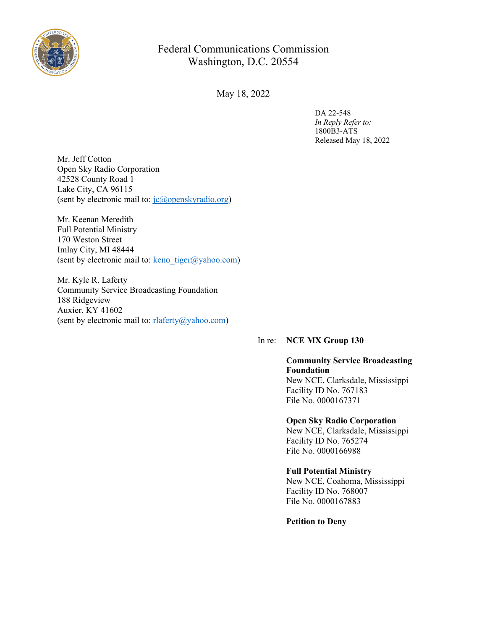

# Federal Communications Commission Washington, D.C. 20554

May 18, 2022

DA 22-548 *In Reply Refer to:* 1800B3-ATS Released May 18, 2022

Mr. Jeff Cotton Open Sky Radio Corporation 42528 County Road 1 Lake City, CA 96115 (sent by electronic mail to: [jc@openskyradio.org](file:///C:/Users/Alexander.Sanjenis/AppData/Local/Microsoft/Windows/INetCache/Content.Outlook/S7JBOK22/jc@openskyradio.org))

Mr. Keenan Meredith Full Potential Ministry 170 Weston Street Imlay City, MI 48444 (sent by electronic mail to: keno tiger@yahoo.com)

Mr. Kyle R. Laferty Community Service Broadcasting Foundation 188 Ridgeview Auxier, KY 41602 (sent by electronic mail to: [rlaferty@yahoo.com\)](mailto:rlaferty@yahoo.com)

# In re: **NCE MX Group 130**

# **Community Service Broadcasting Foundation**

New NCE, Clarksdale, Mississippi Facility ID No. 767183 File No. 0000167371

#### **Open Sky Radio Corporation**

New NCE, Clarksdale, Mississippi Facility ID No. 765274 File No. 0000166988

# **Full Potential Ministry**

New NCE, Coahoma, Mississippi Facility ID No. 768007 File No. 0000167883

**Petition to Deny**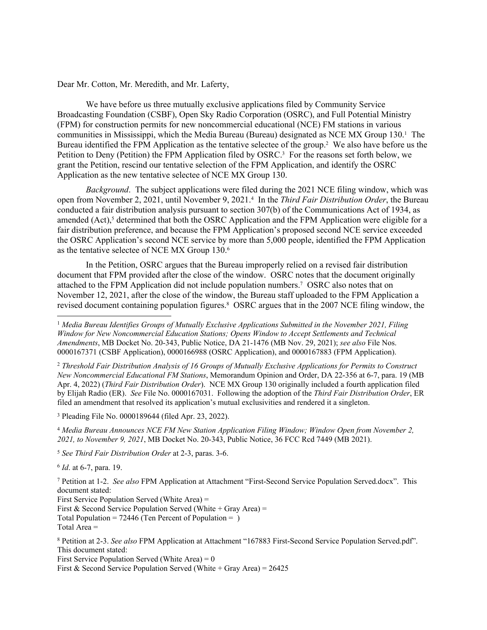Dear Mr. Cotton, Mr. Meredith, and Mr. Laferty,

We have before us three mutually exclusive applications filed by Community Service Broadcasting Foundation (CSBF), Open Sky Radio Corporation (OSRC), and Full Potential Ministry (FPM) for construction permits for new noncommercial educational (NCE) FM stations in various communities in Mississippi, which the Media Bureau (Bureau) designated as NCE MX Group 130.<sup>1</sup> The Bureau identified the FPM Application as the tentative selectee of the group.<sup>2</sup> We also have before us the Petition to Deny (Petition) the FPM Application filed by OSRC.<sup>3</sup> For the reasons set forth below, we grant the Petition, rescind our tentative selection of the FPM Application, and identify the OSRC Application as the new tentative selectee of NCE MX Group 130.

*Background*. The subject applications were filed during the 2021 NCE filing window, which was open from November 2, 2021, until November 9, 2021.<sup>4</sup> In the *Third Fair Distribution Order*, the Bureau conducted a fair distribution analysis pursuant to section 307(b) of the Communications Act of 1934, as amended (Act),<sup>5</sup> determined that both the OSRC Application and the FPM Application were eligible for a fair distribution preference, and because the FPM Application's proposed second NCE service exceeded the OSRC Application's second NCE service by more than 5,000 people, identified the FPM Application as the tentative selectee of NCE MX Group 130.<sup>6</sup>

In the Petition, OSRC argues that the Bureau improperly relied on a revised fair distribution document that FPM provided after the close of the window. OSRC notes that the document originally attached to the FPM Application did not include population numbers.<sup>7</sup> OSRC also notes that on November 12, 2021, after the close of the window, the Bureau staff uploaded to the FPM Application a revised document containing population figures.<sup>8</sup> OSRC argues that in the 2007 NCE filing window, the

<sup>2</sup> *Threshold Fair Distribution Analysis of 16 Groups of Mutually Exclusive Applications for Permits to Construct New Noncommercial Educational FM Stations*, Memorandum Opinion and Order, DA 22-356 at 6-7, para. 19 (MB Apr. 4, 2022) (*Third Fair Distribution Order*). NCE MX Group 130 originally included a fourth application filed by Elijah Radio (ER). *See* File No. 0000167031. Following the adoption of the *Third Fair Distribution Order*, ER filed an amendment that resolved its application's mutual exclusivities and rendered it a singleton.

3 Pleading File No. 0000189644 (filed Apr. 23, 2022).

<sup>4</sup> *Media Bureau Announces NCE FM New Station Application Filing Window; Window Open from November 2, 2021, to November 9, 2021*, MB Docket No. 20-343, Public Notice, 36 FCC Rcd 7449 (MB 2021).

<sup>5</sup> *See Third Fair Distribution Order* at 2-3, paras. 3-6.

6 *Id*. at 6-7, para. 19.

7 Petition at 1-2. *See also* FPM Application at Attachment "First-Second Service Population Served.docx". This document stated: First Service Population Served (White Area) = First & Second Service Population Served (White + Gray Area) = Total Population =  $72446$  (Ten Percent of Population = ) Total Area =

8 Petition at 2-3. *See also* FPM Application at Attachment "167883 First-Second Service Population Served.pdf". This document stated:

First Service Population Served (White Area) =  $0$ First & Second Service Population Served (White + Gray Area) =  $26425$ 

<sup>1</sup> *Media Bureau Identifies Groups of Mutually Exclusive Applications Submitted in the November 2021, Filing Window for New Noncommercial Education Stations; Opens Window to Accept Settlements and Technical Amendments*, MB Docket No. 20-343, Public Notice, DA 21-1476 (MB Nov. 29, 2021); *see also* File Nos. 0000167371 (CSBF Application), 0000166988 (OSRC Application), and 0000167883 (FPM Application).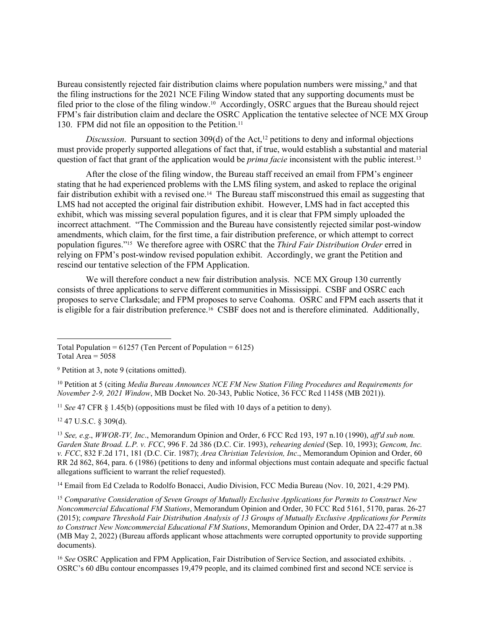Bureau consistently rejected fair distribution claims where population numbers were missing,<sup>9</sup> and that the filing instructions for the 2021 NCE Filing Window stated that any supporting documents must be filed prior to the close of the filing window.<sup>10</sup> Accordingly, OSRC argues that the Bureau should reject FPM's fair distribution claim and declare the OSRC Application the tentative selectee of NCE MX Group 130. FPM did not file an opposition to the Petition.<sup>11</sup>

*Discussion.* Pursuant to section 309(d) of the Act,<sup>12</sup> petitions to deny and informal objections must provide properly supported allegations of fact that, if true, would establish a substantial and material question of fact that grant of the application would be *prima facie* inconsistent with the public interest.<sup>13</sup>

After the close of the filing window, the Bureau staff received an email from FPM's engineer stating that he had experienced problems with the LMS filing system, and asked to replace the original fair distribution exhibit with a revised one.<sup>14</sup> The Bureau staff misconstrued this email as suggesting that LMS had not accepted the original fair distribution exhibit. However, LMS had in fact accepted this exhibit, which was missing several population figures, and it is clear that FPM simply uploaded the incorrect attachment. "The Commission and the Bureau have consistently rejected similar post-window amendments, which claim, for the first time, a fair distribution preference, or which attempt to correct population figures."15 We therefore agree with OSRC that the *Third Fair Distribution Order* erred in relying on FPM's post-window revised population exhibit. Accordingly, we grant the Petition and rescind our tentative selection of the FPM Application.

We will therefore conduct a new fair distribution analysis. NCE MX Group 130 currently consists of three applications to serve different communities in Mississippi. CSBF and OSRC each proposes to serve Clarksdale; and FPM proposes to serve Coahoma. OSRC and FPM each asserts that it is eligible for a fair distribution preference.16 CSBF does not and is therefore eliminated. Additionally,

<sup>11</sup> *See* 47 CFR § 1.45(b) (oppositions must be filed with 10 days of a petition to deny).

<sup>12</sup> 47 U.S.C. § 309(d).

<sup>13</sup> *See, e.g*., *WWOR-TV, Inc*., Memorandum Opinion and Order, 6 FCC Rcd 193, 197 n.10 (1990), *aff'd sub nom. Garden State Broad. L.P. v. FCC*, 996 F. 2d 386 (D.C. Cir. 1993), *rehearing denied* (Sep. 10, 1993); *Gencom, Inc. v. FCC*, 832 F.2d 171, 181 (D.C. Cir. 1987); *Area Christian Television, Inc*., Memorandum Opinion and Order, 60 RR 2d 862, 864, para. 6 (1986) (petitions to deny and informal objections must contain adequate and specific factual allegations sufficient to warrant the relief requested).

<sup>14</sup> Email from Ed Czelada to Rodolfo Bonacci, Audio Division, FCC Media Bureau (Nov. 10, 2021, 4:29 PM).

<sup>15</sup> *Comparative Consideration of Seven Groups of Mutually Exclusive Applications for Permits to Construct New Noncommercial Educational FM Stations*, Memorandum Opinion and Order, 30 FCC Rcd 5161, 5170, paras. 26-27 (2015); *compare Threshold Fair Distribution Analysis of 13 Groups of Mutually Exclusive Applications for Permits to Construct New Noncommercial Educational FM Stations*, Memorandum Opinion and Order, DA 22-477 at n.38 (MB May 2, 2022) (Bureau affords applicant whose attachments were corrupted opportunity to provide supporting documents).

<sup>16</sup> See OSRC Application and FPM Application, Fair Distribution of Service Section, and associated exhibits. . OSRC's 60 dBu contour encompasses 19,479 people, and its claimed combined first and second NCE service is

Total Population =  $61257$  (Ten Percent of Population =  $6125$ )

Total Area  $= 5058$ 

<sup>9</sup> Petition at 3, note 9 (citations omitted).

<sup>10</sup> Petition at 5 (citing *Media Bureau Announces NCE FM New Station Filing Procedures and Requirements for November 2-9, 2021 Window*, MB Docket No. 20-343, Public Notice, 36 FCC Rcd 11458 (MB 2021)).